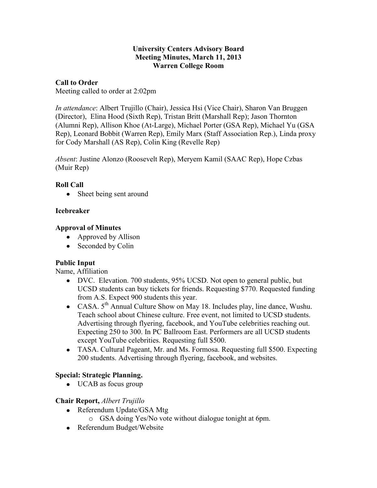## **University Centers Advisory Board Meeting Minutes, March 11, 2013 Warren College Room**

## **Call to Order**

Meeting called to order at 2:02pm

*In attendance*: Albert Trujillo (Chair), Jessica Hsi (Vice Chair), Sharon Van Bruggen (Director), Elina Hood (Sixth Rep), Tristan Britt (Marshall Rep); Jason Thornton (Alumni Rep), Allison Khoe (At-Large), Michael Porter (GSA Rep), Michael Yu (GSA Rep), Leonard Bobbit (Warren Rep), Emily Marx (Staff Association Rep.), Linda proxy for Cody Marshall (AS Rep), Colin King (Revelle Rep)

*Absent*: Justine Alonzo (Roosevelt Rep), Meryem Kamil (SAAC Rep), Hope Czbas (Muir Rep)

## **Roll Call**

Sheet being sent around  $\bullet$ 

## **Icebreaker**

## **Approval of Minutes**

- Approved by Allison
- Seconded by Colin

## **Public Input**

Name, Affiliation

- DVC. Elevation. 700 students, 95% UCSD. Not open to general public, but UCSD students can buy tickets for friends. Requesting \$770. Requested funding from A.S. Expect 900 students this year.
- CASA.  $5<sup>th</sup>$  Annual Culture Show on May 18. Includes play, line dance, Wushu. Teach school about Chinese culture. Free event, not limited to UCSD students. Advertising through flyering, facebook, and YouTube celebrities reaching out. Expecting 250 to 300. In PC Ballroom East. Performers are all UCSD students except YouTube celebrities. Requesting full \$500.
- TASA. Cultural Pageant, Mr. and Ms. Formosa. Requesting full \$500. Expecting 200 students. Advertising through flyering, facebook, and websites.

## **Special: Strategic Planning.**

• UCAB as focus group

## **Chair Report,** *Albert Trujillo*

- Referendum Update/GSA Mtg
	- o GSA doing Yes/No vote without dialogue tonight at 6pm.
- Referendum Budget/Website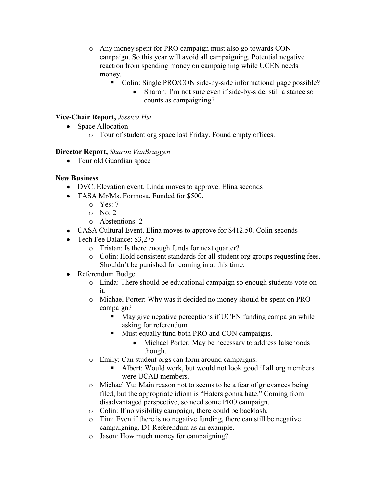- o Any money spent for PRO campaign must also go towards CON campaign. So this year will avoid all campaigning. Potential negative reaction from spending money on campaigning while UCEN needs money.
	- Colin: Single PRO/CON side-by-side informational page possible?
		- Sharon: I'm not sure even if side-by-side, still a stance so  $\bullet$ counts as campaigning?

# **Vice-Chair Report,** *Jessica Hsi*

- Space Allocation
	- o Tour of student org space last Friday. Found empty offices.

## **Director Report,** *Sharon VanBruggen*

• Tour old Guardian space

## **New Business**

- DVC. Elevation event. Linda moves to approve. Elina seconds
- TASA Mr/Ms. Formosa. Funded for \$500.
	- o Yes: 7
	- o No: 2
	- o Abstentions: 2
- CASA Cultural Event. Elina moves to approve for \$412.50. Colin seconds
- Tech Fee Balance: \$3,275
	- o Tristan: Is there enough funds for next quarter?
	- o Colin: Hold consistent standards for all student org groups requesting fees. Shouldn't be punished for coming in at this time.
- Referendum Budget
	- o Linda: There should be educational campaign so enough students vote on it.
	- o Michael Porter: Why was it decided no money should be spent on PRO campaign?
		- May give negative perceptions if UCEN funding campaign while asking for referendum
		- Must equally fund both PRO and CON campaigns.
			- $\bullet$ Michael Porter: May be necessary to address falsehoods though.
	- o Emily: Can student orgs can form around campaigns.
		- Albert: Would work, but would not look good if all org members were UCAB members.
	- o Michael Yu: Main reason not to seems to be a fear of grievances being filed, but the appropriate idiom is "Haters gonna hate." Coming from disadvantaged perspective, so need some PRO campaign.
	- o Colin: If no visibility campaign, there could be backlash.
	- o Tim: Even if there is no negative funding, there can still be negative campaigning. D1 Referendum as an example.
	- o Jason: How much money for campaigning?